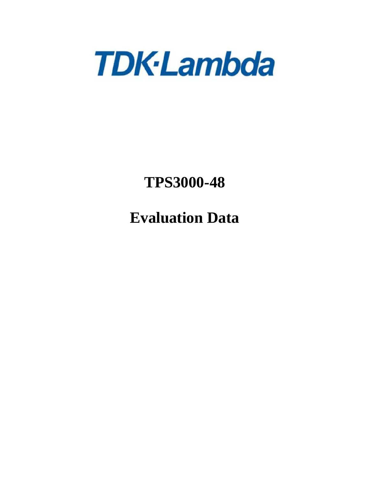

# **TPS3000-48**

**Evaluation Data**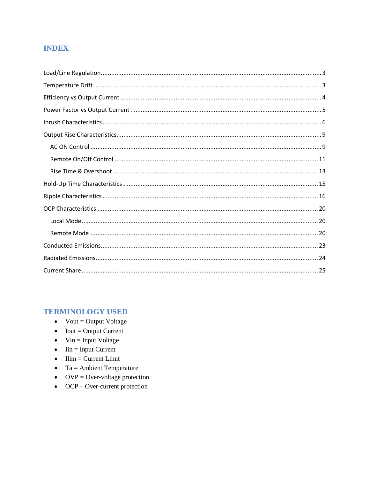# **INDEX**

# **TERMINOLOGY USED**

- $\bullet$  Vout = Output Voltage
- $\bullet$  Iout = Output Current
- $\bullet$  Vin = Input Voltage
- $\bullet$  Iin = Input Current
- $\bullet$  Ilim = Current Limit
- $\bullet$  Ta = Ambient Temperature
- OVP = Over-voltage protection
- $\bullet$  OCP Over-current protection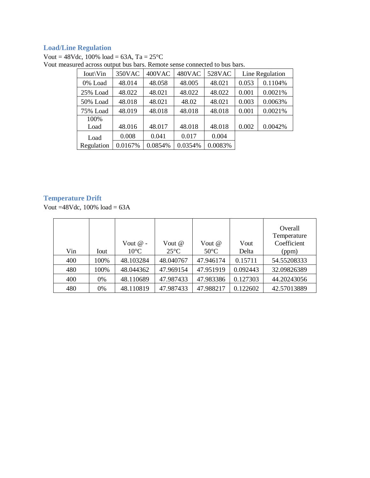## **Load/Line Regulation**

Vout =  $48$ Vdc, 100% load =  $63$ A, Ta =  $25$ <sup>o</sup>C

| Iout\Vin   | 350VAC  | 400VAC  | 480VAC  | 528VAC  |       | Line Regulation |
|------------|---------|---------|---------|---------|-------|-----------------|
| 0% Load    | 48.014  | 48.058  | 48.005  | 48.021  | 0.053 | 0.1104%         |
| 25% Load   | 48.022  | 48.021  | 48.022  | 48.022  | 0.001 | 0.0021%         |
| 50% Load   | 48.018  | 48.021  | 48.02   | 48.021  | 0.003 | 0.0063%         |
| 75% Load   | 48.019  | 48.018  | 48.018  | 48.018  | 0.001 | 0.0021%         |
| 100%       |         |         |         |         |       |                 |
| Load       | 48.016  | 48.017  | 48.018  | 48.018  | 0.002 | 0.0042%         |
| Load       | 0.008   | 0.041   | 0.017   | 0.004   |       |                 |
| Regulation | 0.0167% | 0.0854% | 0.0354% | 0.0083% |       |                 |
|            |         |         |         |         |       |                 |

Vout measured across output bus bars. Remote sense connected to bus bars.

### **Temperature Drift**

Vout  $=48$ Vdc, 100% load  $= 63$ A

|     |      | Vout $\omega$ - | Vout @         | Vout $@$       | Vout     | Overall<br>Temperature<br>Coefficient |
|-----|------|-----------------|----------------|----------------|----------|---------------------------------------|
| Vin | Iout | $10^{\circ}$ C  | $25^{\circ}$ C | $50^{\circ}$ C | Delta    | (ppm)                                 |
| 400 | 100% | 48.103284       | 48.040767      | 47.946174      | 0.15711  | 54.55208333                           |
| 480 | 100% | 48.044362       | 47.969154      | 47.951919      | 0.092443 | 32.09826389                           |
| 400 | 0%   | 48.110689       | 47.987433      | 47.983386      | 0.127303 | 44.20243056                           |
| 480 | 0%   | 48.110819       | 47.987433      | 47.988217      | 0.122602 | 42.57013889                           |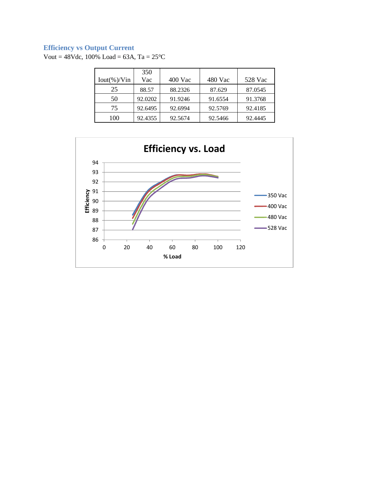# **Efficiency vs Output Current**

Vout =  $48Vdc$ , 100% Load =  $63A$ , Ta =  $25^{\circ}$ C

|                | 350     |           |         |         |
|----------------|---------|-----------|---------|---------|
| $Iout(\%)/Vin$ | Vac     | $400$ Vac | 480 Vac | 528 Vac |
| 25             | 88.57   | 88.2326   | 87.629  | 87.0545 |
| 50             | 92.0202 | 91.9246   | 91.6554 | 91.3768 |
| 75             | 92.6495 | 92.6994   | 92.5769 | 92.4185 |
| 100            | 92.4355 | 92.5674   | 92.5466 | 92.4445 |

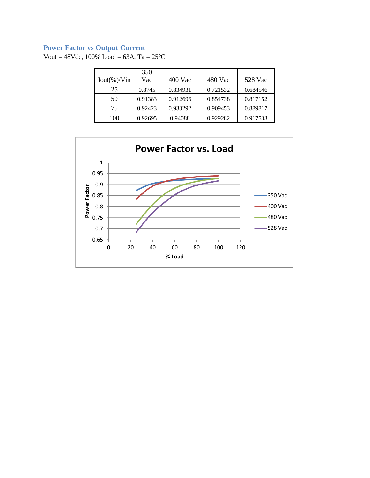# **Power Factor vs Output Current**

Vout =  $48Vdc$ , 100% Load =  $63A$ , Ta =  $25^{\circ}$ C

|                | 350     |           |          |          |
|----------------|---------|-----------|----------|----------|
| $Iout(\%)/Vin$ | Vac     | $400$ Vac | 480 Vac  | 528 Vac  |
| 25             | 0.8745  | 0.834931  | 0.721532 | 0.684546 |
| 50             | 0.91383 | 0.912696  | 0.854738 | 0.817152 |
| 75             | 0.92423 | 0.933292  | 0.909453 | 0.889817 |
| 100            | 0.92695 | 0.94088   | 0.929282 | 0.917533 |

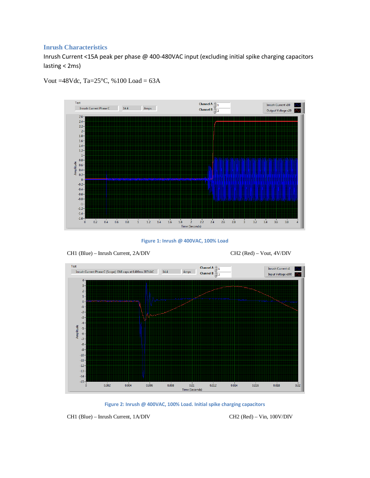#### **Inrush Characteristics**

Inrush Current <15A peak per phase @ 400-480VAC input (excluding initial spike charging capacitors lasting < 2ms)



Vout =48Vdc, Ta= $25^{\circ}$ C, %100 Load = 63A

**Figure 1: Inrush @ 400VAC, 100% Load**



**Figure 2: Inrush @ 400VAC, 100% Load. Initial spike charging capacitors**

Time (Seconds)

CH1 (Blue) – Inrush Current, 1A/DIV CH2 (Red) – Vin, 100V/DIV

 $\mathbf{0}$ 

 $0.018$ 

 $0.02$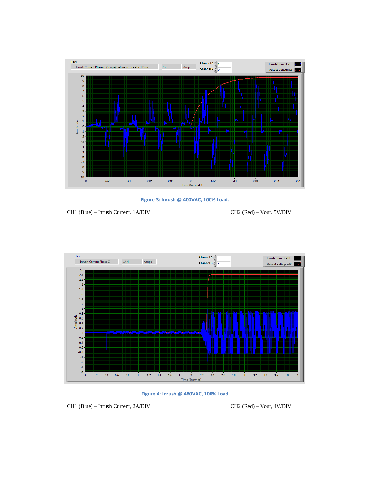

**Figure 3: Inrush @ 400VAC, 100% Load.**

CH1 (Blue) – Inrush Current, 1A/DIV CH2 (Red) – Vout, 5V/DIV





CH1 (Blue) – Inrush Current, 2A/DIV CH2 (Red) – Vout, 4V/DIV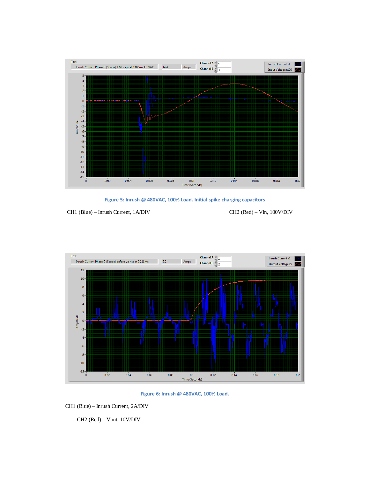

**Figure 5: Inrush @ 480VAC, 100% Load. Initial spike charging capacitors**

CH1 (Blue) – Inrush Current, 1A/DIV CH2 (Red) – Vin, 100V/DIV





CH1 (Blue) – Inrush Current, 2A/DIV

CH2 (Red) – Vout, 10V/DIV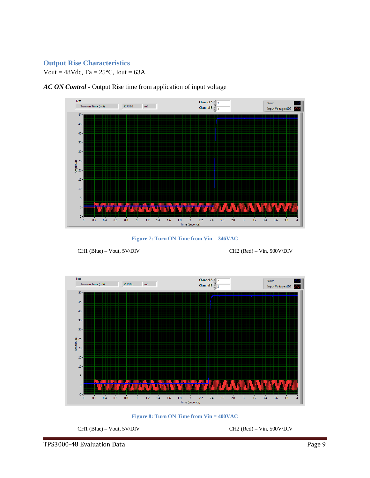#### **Output Rise Characteristics**

Vout =  $48$ Vdc, Ta =  $25$ °C, Iout =  $63$ A



*AC ON Control* - Output Rise time from application of input voltage

**Figure 7: Turn ON Time from Vin = 346VAC**







CH1 (Blue) – Vout, 5V/DIV CH2 (Red) – Vin, 500V/DIV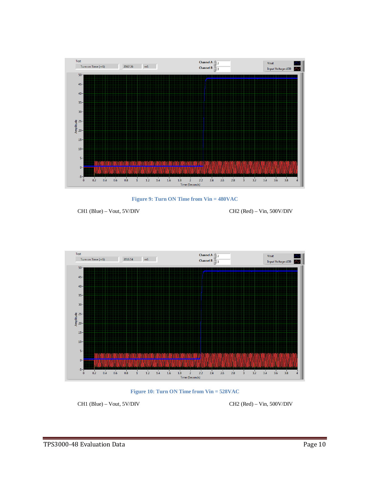

**Figure 9: Turn ON Time from Vin = 480VAC**

CH1 (Blue) – Vout, 5V/DIV CH2 (Red) – Vin, 500V/DIV





CH1 (Blue) – Vout, 5V/DIV CH2 (Red) – Vin, 500V/DIV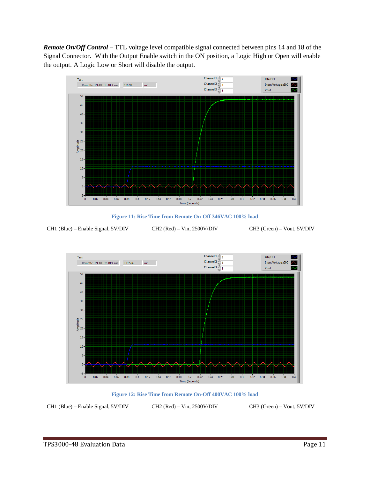*Remote On/Off Control* – TTL voltage level compatible signal connected between pins 14 and 18 of the Signal Connector. With the Output Enable switch in the ON position, a Logic High or Open will enable the output. A Logic Low or Short will disable the output.



**Figure 11: Rise Time from Remote On-Off 346VAC 100% load**

CH1 (Blue) – Enable Signal, 5V/DIV CH2 (Red) – Vin, 2500V/DIV CH3 (Green) – Vout, 5V/DIV



**Figure 12: Rise Time from Remote On-Off 400VAC 100% load**

CH1 (Blue) – Enable Signal, 5V/DIV CH2 (Red) – Vin, 2500V/DIV CH3 (Green) – Vout, 5V/DIV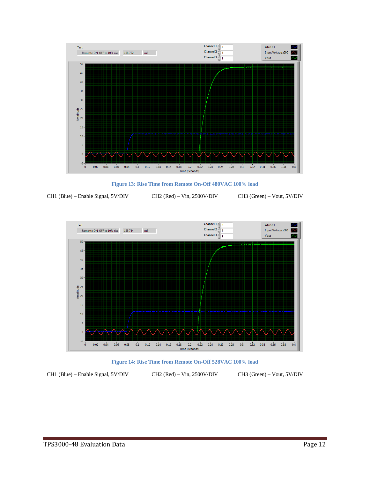

**Figure 13: Rise Time from Remote On-Off 480VAC 100% load**

CH1 (Blue) – Enable Signal, 5V/DIV CH2 (Red) – Vin, 2500V/DIV CH3 (Green) – Vout, 5V/DIV





CH1 (Blue) – Enable Signal, 5V/DIV CH2 (Red) – Vin, 2500V/DIV CH3 (Green) – Vout, 5V/DIV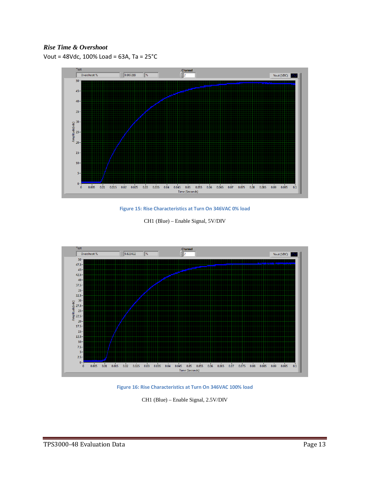#### *Rise Time & Overshoot*

Vout = 48Vdc, 100% Load = 63A, Ta = 25°C



**Figure 15: Rise Characteristics at Turn On 346VAC 0% load**

|  |  |  |  | CH1 (Blue) – Enable Signal, 5V/DIV |
|--|--|--|--|------------------------------------|
|--|--|--|--|------------------------------------|



**Figure 16: Rise Characteristics at Turn On 346VAC 100% load**

CH1 (Blue) – Enable Signal, 2.5V/DIV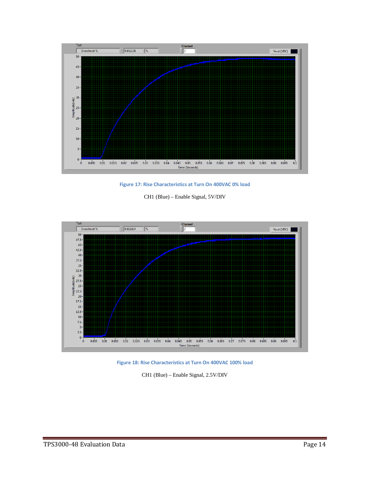

**Figure 17: Rise Characteristics at Turn On 400VAC 0% load**

CH1 (Blue) – Enable Signal, 5V/DIV



**Figure 18: Rise Characteristics at Turn On 400VAC 100% load**

CH1 (Blue) – Enable Signal, 2.5V/DIV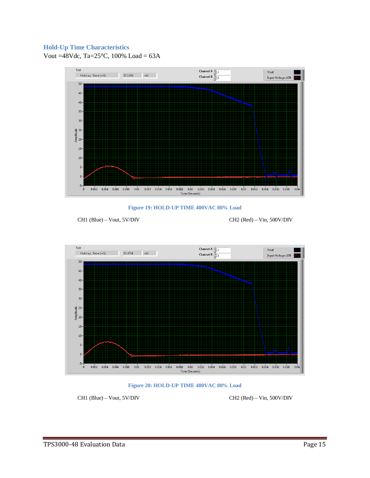#### **Hold-Up Time Characteristics**

Vout =48Vdc, Ta=25°C, 100% Load = 63A





CH1 (Blue) – Vout, 5V/DIV CH2 (Red) – Vin, 500V/DIV





CH1 (Blue) – Vout, 5V/DIV CH2 (Red) – Vin, 500V/DIV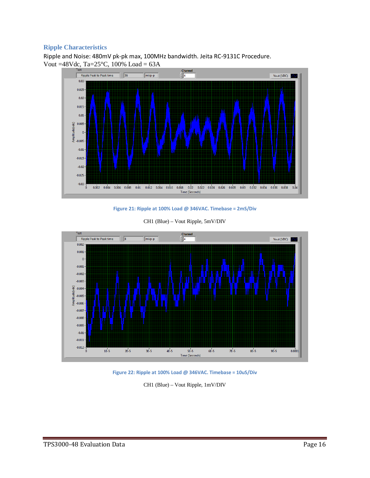## **Ripple Characteristics**

Ripple and Noise: 480mV pk-pk max, 100MHz bandwidth. Jeita RC-9131C Procedure. Vout =48Vdc, Ta=25°C,  $100\%$  Load = 63A



**Figure 21: Ripple at 100% Load @ 346VAC. Timebase = 2mS/Div**



CH1 (Blue) – Vout Ripple, 5mV/DIV

**Figure 22: Ripple at 100% Load @ 346VAC. Timebase = 10uS/Div**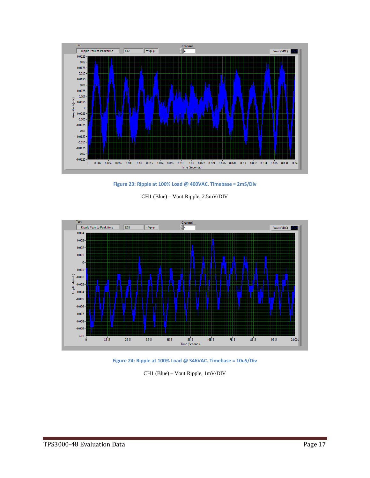

**Figure 23: Ripple at 100% Load @ 400VAC. Timebase = 2mS/Div**

CH1 (Blue) – Vout Ripple, 2.5mV/DIV



**Figure 24: Ripple at 100% Load @ 346VAC. Timebase = 10uS/Div**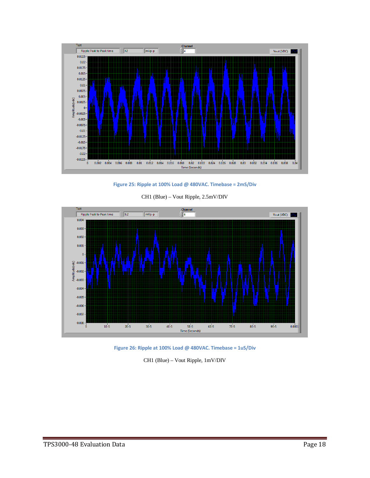

**Figure 25: Ripple at 100% Load @ 480VAC. Timebase = 2mS/Div**



CH1 (Blue) – Vout Ripple, 2.5mV/DIV

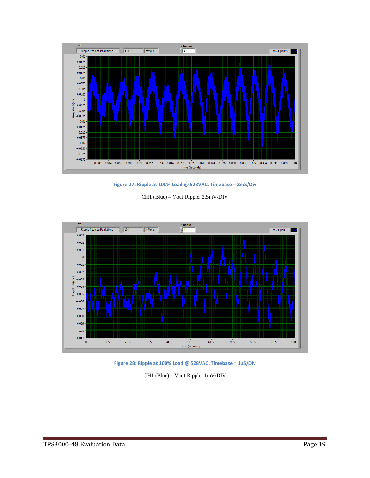

**Figure 27: Ripple at 100% Load @ 528VAC. Timebase = 2mS/Div**

CH1 (Blue) – Vout Ripple, 2.5mV/DIV



**Figure 28: Ripple at 100% Load @ 528VAC. Timebase = 1uS/Div**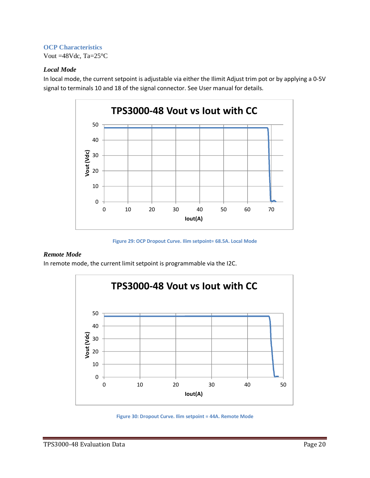#### **OCP Characteristics**

Vout =48Vdc, Ta=25°C

#### *Local Mode*

In local mode, the current setpoint is adjustable via either the Ilimit Adjust trim pot or by applying a 0-5V signal to terminals 10 and 18 of the signal connector. See User manual for details.



**Figure 29: OCP Dropout Curve. Ilim setpoint= 68.5A. Local Mode**

#### *Remote Mode*

In remote mode, the current limit setpoint is programmable via the I2C.



**Figure 30: Dropout Curve. Ilim setpoint = 44A. Remote Mode**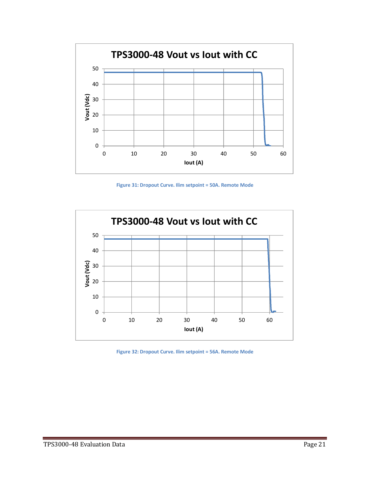

**Figure 31: Dropout Curve. Ilim setpoint = 50A. Remote Mode**



**Figure 32: Dropout Curve. Ilim setpoint = 56A. Remote Mode**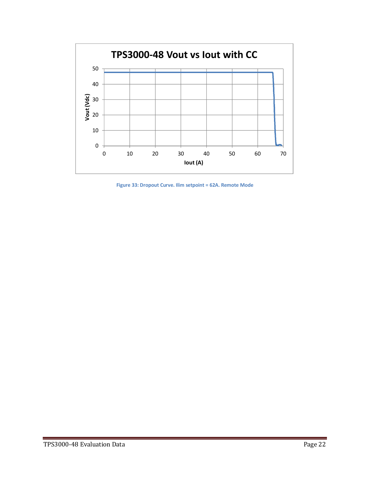

**Figure 33: Dropout Curve. Ilim setpoint = 62A. Remote Mode**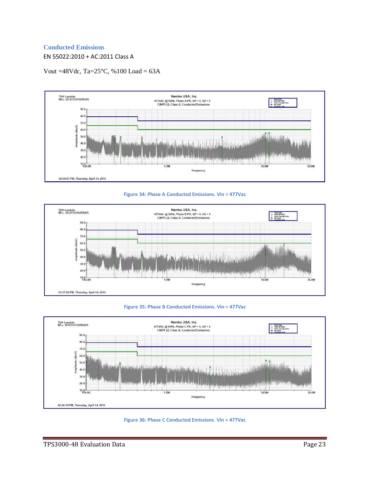#### **Conducted Emissions**

EN 55022:2010 + AC:2011 Class A

Vout =48Vdc, Ta= $25^{\circ}$ C, %100 Load = 63A











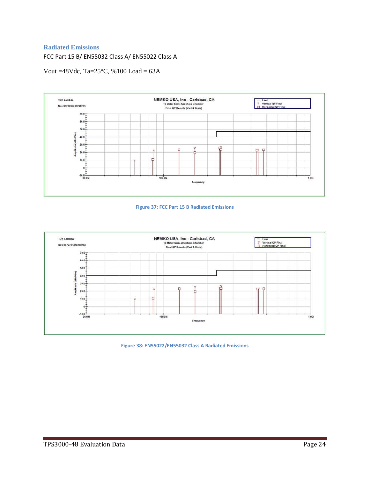#### **Radiated Emissions**

FCC Part 15 B/ EN55032 Class A/ EN55022 Class A

Vout =48Vdc, Ta=25°C, %100 Load = 63A







**Figure 38: EN55022/EN55032 Class A Radiated Emissions**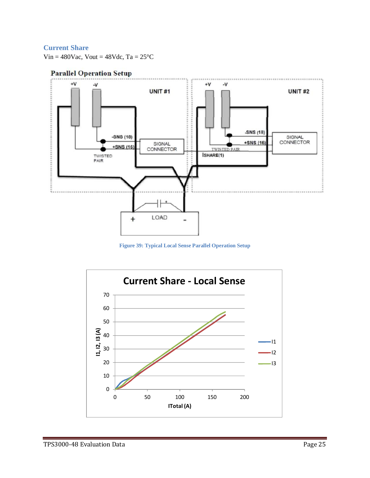## **Current Share**

Vin =  $480$ Vac, Vout =  $48$ Vdc, Ta =  $25^{\circ}$ C

## **Parallel Operation Setup**



**Figure 39: Typical Local Sense Parallel Operation Setup**

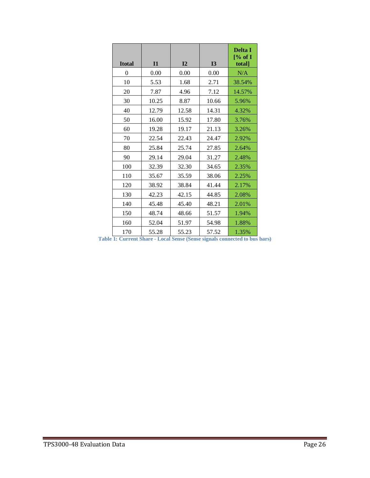| <b>Itotal</b> | I1    | I2    | <b>I3</b> | <b>Delta I</b><br>[% of I]<br>total] |
|---------------|-------|-------|-----------|--------------------------------------|
| 0             | 0.00  | 0.00  | 0.00      | N/A                                  |
| 10            | 5.53  | 1.68  | 2.71      | 38.54%                               |
| 20            | 7.87  | 4.96  | 7.12      | 14.57%                               |
| 30            | 10.25 | 8.87  | 10.66     | 5.96%                                |
| 40            | 12.79 | 12.58 | 14.31     | 4.32%                                |
| 50            | 16.00 | 15.92 | 17.80     | 3.76%                                |
| 60            | 19.28 | 19.17 | 21.13     | 3.26%                                |
| 70            | 22.54 | 22.43 | 24.47     | 2.92%                                |
| 80            | 25.84 | 25.74 | 27.85     | 2.64%                                |
| 90            | 29.14 | 29.04 | 31.27     | 2.48%                                |
| 100           | 32.39 | 32.30 | 34.65     | 2.35%                                |
| 110           | 35.67 | 35.59 | 38.06     | 2.25%                                |
| 120           | 38.92 | 38.84 | 41.44     | 2.17%                                |
| 130           | 42.23 | 42.15 | 44.85     | 2.08%                                |
| 140           | 45.48 | 45.40 | 48.21     | 2.01%                                |
| 150           | 48.74 | 48.66 | 51.57     | 1.94%                                |
| 160           | 52.04 | 51.97 | 54.98     | 1.88%                                |
| 170           | 55.28 | 55.23 | 57.52     | 1.35%                                |

| Table 1: Current Share - Local Sense (Sense signals connected to bus bars) |  |  |
|----------------------------------------------------------------------------|--|--|
|                                                                            |  |  |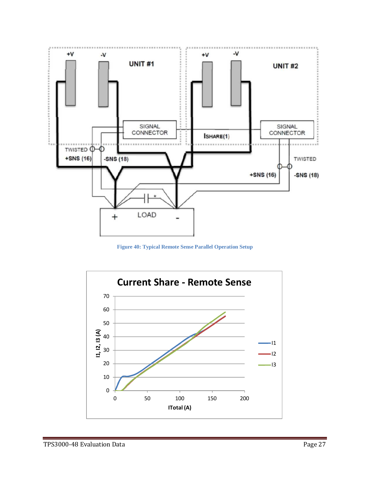

**Figure 40: Typical Remote Sense Parallel Operation Setup**